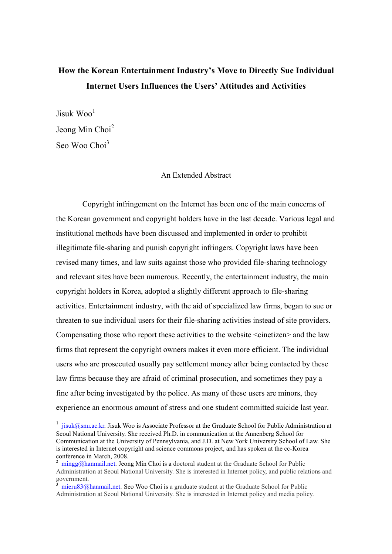## How the Korean Entertainment Industry's Move to Directly Sue Individual Internet Users Influences the Users' Attitudes and Activities

 $I$ isuk Woo<sup>1</sup> Jeong Min Choi<sup>2</sup> Seo Woo Choi<sup>3</sup>

## An Extended Abstract

Copyright infringement on the Internet has been one of the main concerns of the Korean government and copyright holders have in the last decade. Various legal and institutional methods have been discussed and implemented in order to prohibit illegitimate file-sharing and punish copyright infringers. Copyright laws have been revised many times, and law suits against those who provided file-sharing technology and relevant sites have been numerous. Recently, the entertainment industry, the main copyright holders in Korea, adopted a slightly different approach to file-sharing activities. Entertainment industry, with the aid of specialized law firms, began to sue or threaten to sue individual users for their file-sharing activities instead of site providers. Compensating those who report these activities to the website <cinetizen> and the law firms that represent the copyright owners makes it even more efficient. The individual users who are prosecuted usually pay settlement money after being contacted by these law firms because they are afraid of criminal prosecution, and sometimes they pay a fine after being investigated by the police. As many of these users are minors, they experience an enormous amount of stress and one student committed suicide last year.

<sup>&</sup>lt;sup>1</sup> jisuk@snu.ac.kr. Jisuk Woo is Associate Professor at the Graduate School for Public Administration at Seoul National University. She received Ph.D. in communication at the Annenberg School for Communication at the University of Pennsylvania, and J.D. at New York University School of Law. She is interested in Internet copyright and science commons project, and has spoken at the cc-Korea conference in March, 2008.

<sup>&</sup>lt;sup>2</sup> mingg@hanmail.net. Jeong Min Choi is a doctoral student at the Graduate School for Public Administration at Seoul National University. She is interested in Internet policy, and public relations and government.

<sup>3</sup> mieru83@hanmail.net. Seo Woo Choi is a graduate student at the Graduate School for Public Administration at Seoul National University. She is interested in Internet policy and media policy.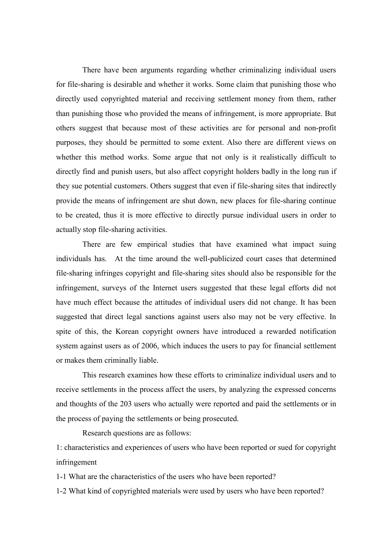There have been arguments regarding whether criminalizing individual users for file-sharing is desirable and whether it works. Some claim that punishing those who directly used copyrighted material and receiving settlement money from them, rather than punishing those who provided the means of infringement, is more appropriate. But others suggest that because most of these activities are for personal and non-profit purposes, they should be permitted to some extent. Also there are different views on whether this method works. Some argue that not only is it realistically difficult to directly find and punish users, but also affect copyright holders badly in the long run if they sue potential customers. Others suggest that even if file-sharing sites that indirectly provide the means of infringement are shut down, new places for file-sharing continue to be created, thus it is more effective to directly pursue individual users in order to actually stop file-sharing activities.

There are few empirical studies that have examined what impact suing individuals has. At the time around the well-publicized court cases that determined file-sharing infringes copyright and file-sharing sites should also be responsible for the infringement, surveys of the Internet users suggested that these legal efforts did not have much effect because the attitudes of individual users did not change. It has been suggested that direct legal sanctions against users also may not be very effective. In spite of this, the Korean copyright owners have introduced a rewarded notification system against users as of 2006, which induces the users to pay for financial settlement or makes them criminally liable.

This research examines how these efforts to criminalize individual users and to receive settlements in the process affect the users, by analyzing the expressed concerns and thoughts of the 203 users who actually were reported and paid the settlements or in the process of paying the settlements or being prosecuted.

Research questions are as follows:

1: characteristics and experiences of users who have been reported or sued for copyright infringement

1-1 What are the characteristics of the users who have been reported?

1-2 What kind of copyrighted materials were used by users who have been reported?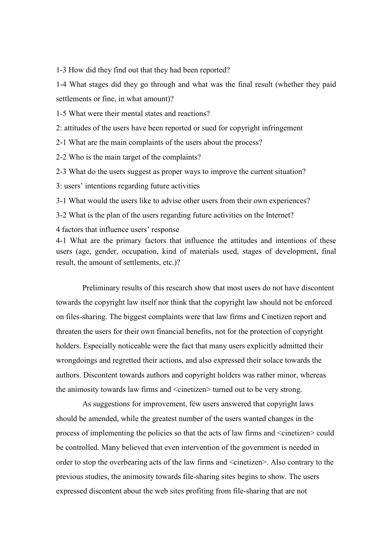1-3 How did they find out that they had been reported?

1-4 What stages did they go through and what was the final result (whether they paid settlements or fine, in what amount)?

1-5 What were their mental states and reactions?

2: attitudes of the users have been reported or sued for copyright infringement

2-1 What are the main complaints of the users about the process?

2-2 Who is the main target of the complaints?

2-3 What do the users suggest as proper ways to improve the current situation?

3: users' intentions regarding future activities

3-1 What would the users like to advise other users from their own experiences?

3-2 What is the plan of the users regarding future activities on the Internet?

4 factors that influence users' response

4-1 What are the primary factors that influence the attitudes and intentions of these users (age, gender, occupation, kind of materials used, stages of development, final result, the amount of settlements, etc.)?

Preliminary results of this research show that most users do not have discontent towards the copyright law itself nor think that the copyright law should not be enforced on files-sharing. The biggest complaints were that law firms and Cinetizen report and threaten the users for their own financial benefits, not for the protection of copyright holders. Especially noticeable were the fact that many users explicitly admitted their wrongdoings and regretted their actions, and also expressed their solace towards the authors. Discontent towards authors and copyright holders was rather minor, whereas the animosity towards law firms and <cinetizen> turned out to be very strong.

As suggestions for improvement, few users answered that copyright laws should be amended, while the greatest number of the users wanted changes in the process of implementing the policies so that the acts of law firms and <cinetizen> could be controlled. Many believed that even intervention of the government is needed in order to stop the overbearing acts of the law firms and <cinetizen>. Also contrary to the previous studies, the animosity towards file-sharing sites begins to show. The users expressed discontent about the web sites profiting from file-sharing that are not